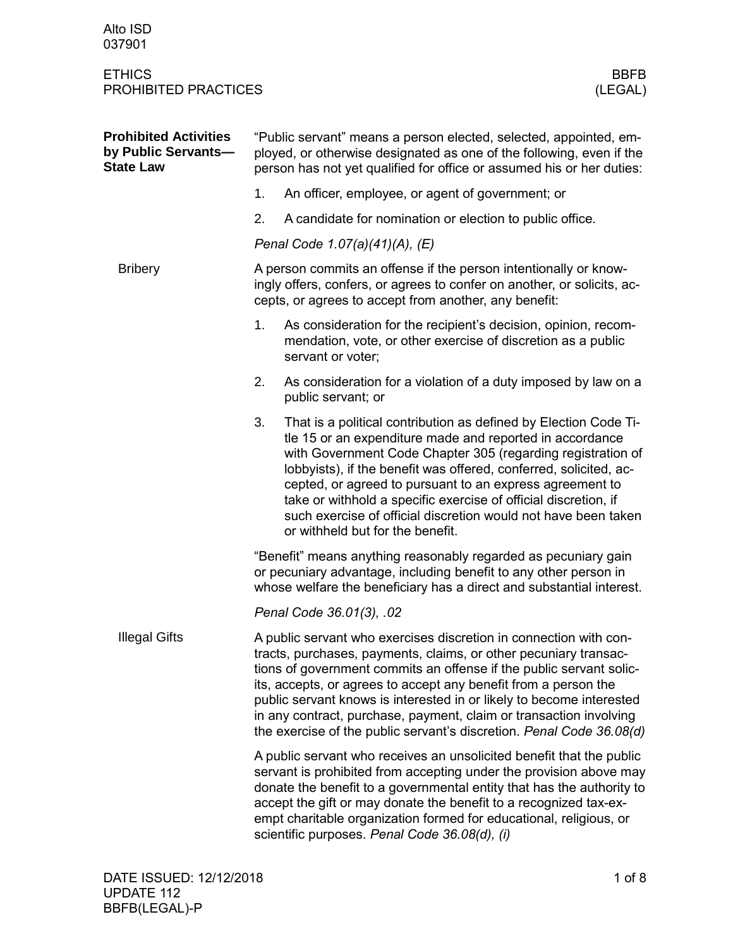| Alto ISD<br>037901                                                      |                                                                                                                                                                                                                                                                                                                                                                                                                                                                                                       |                                                                                                                                                                                                                                                                                                                                                                                                                                                                                                       |  |  |
|-------------------------------------------------------------------------|-------------------------------------------------------------------------------------------------------------------------------------------------------------------------------------------------------------------------------------------------------------------------------------------------------------------------------------------------------------------------------------------------------------------------------------------------------------------------------------------------------|-------------------------------------------------------------------------------------------------------------------------------------------------------------------------------------------------------------------------------------------------------------------------------------------------------------------------------------------------------------------------------------------------------------------------------------------------------------------------------------------------------|--|--|
| <b>ETHICS</b><br>PROHIBITED PRACTICES                                   |                                                                                                                                                                                                                                                                                                                                                                                                                                                                                                       | <b>BBFB</b><br>(LEGAL)                                                                                                                                                                                                                                                                                                                                                                                                                                                                                |  |  |
| <b>Prohibited Activities</b><br>by Public Servants-<br><b>State Law</b> | "Public servant" means a person elected, selected, appointed, em-<br>ployed, or otherwise designated as one of the following, even if the<br>person has not yet qualified for office or assumed his or her duties:                                                                                                                                                                                                                                                                                    |                                                                                                                                                                                                                                                                                                                                                                                                                                                                                                       |  |  |
|                                                                         | 1.                                                                                                                                                                                                                                                                                                                                                                                                                                                                                                    | An officer, employee, or agent of government; or                                                                                                                                                                                                                                                                                                                                                                                                                                                      |  |  |
|                                                                         | 2.                                                                                                                                                                                                                                                                                                                                                                                                                                                                                                    | A candidate for nomination or election to public office.                                                                                                                                                                                                                                                                                                                                                                                                                                              |  |  |
|                                                                         | Penal Code 1.07(a)(41)(A), (E)                                                                                                                                                                                                                                                                                                                                                                                                                                                                        |                                                                                                                                                                                                                                                                                                                                                                                                                                                                                                       |  |  |
| <b>Bribery</b>                                                          | A person commits an offense if the person intentionally or know-<br>ingly offers, confers, or agrees to confer on another, or solicits, ac-<br>cepts, or agrees to accept from another, any benefit:                                                                                                                                                                                                                                                                                                  |                                                                                                                                                                                                                                                                                                                                                                                                                                                                                                       |  |  |
|                                                                         | 1.                                                                                                                                                                                                                                                                                                                                                                                                                                                                                                    | As consideration for the recipient's decision, opinion, recom-<br>mendation, vote, or other exercise of discretion as a public<br>servant or voter;                                                                                                                                                                                                                                                                                                                                                   |  |  |
|                                                                         | 2.                                                                                                                                                                                                                                                                                                                                                                                                                                                                                                    | As consideration for a violation of a duty imposed by law on a<br>public servant; or                                                                                                                                                                                                                                                                                                                                                                                                                  |  |  |
|                                                                         | 3.                                                                                                                                                                                                                                                                                                                                                                                                                                                                                                    | That is a political contribution as defined by Election Code Ti-<br>tle 15 or an expenditure made and reported in accordance<br>with Government Code Chapter 305 (regarding registration of<br>lobbyists), if the benefit was offered, conferred, solicited, ac-<br>cepted, or agreed to pursuant to an express agreement to<br>take or withhold a specific exercise of official discretion, if<br>such exercise of official discretion would not have been taken<br>or withheld but for the benefit. |  |  |
|                                                                         | "Benefit" means anything reasonably regarded as pecuniary gain<br>or pecuniary advantage, including benefit to any other person in<br>whose welfare the beneficiary has a direct and substantial interest.                                                                                                                                                                                                                                                                                            |                                                                                                                                                                                                                                                                                                                                                                                                                                                                                                       |  |  |
|                                                                         | Penal Code 36.01(3), .02                                                                                                                                                                                                                                                                                                                                                                                                                                                                              |                                                                                                                                                                                                                                                                                                                                                                                                                                                                                                       |  |  |
| <b>Illegal Gifts</b>                                                    | A public servant who exercises discretion in connection with con-<br>tracts, purchases, payments, claims, or other pecuniary transac-<br>tions of government commits an offense if the public servant solic-<br>its, accepts, or agrees to accept any benefit from a person the<br>public servant knows is interested in or likely to become interested<br>in any contract, purchase, payment, claim or transaction involving<br>the exercise of the public servant's discretion. Penal Code 36.08(d) |                                                                                                                                                                                                                                                                                                                                                                                                                                                                                                       |  |  |
|                                                                         | A public servant who receives an unsolicited benefit that the public<br>servant is prohibited from accepting under the provision above may<br>donate the benefit to a governmental entity that has the authority to<br>accept the gift or may donate the benefit to a recognized tax-ex-<br>empt charitable organization formed for educational, religious, or<br>scientific purposes. Penal Code 36.08(d), (i)                                                                                       |                                                                                                                                                                                                                                                                                                                                                                                                                                                                                                       |  |  |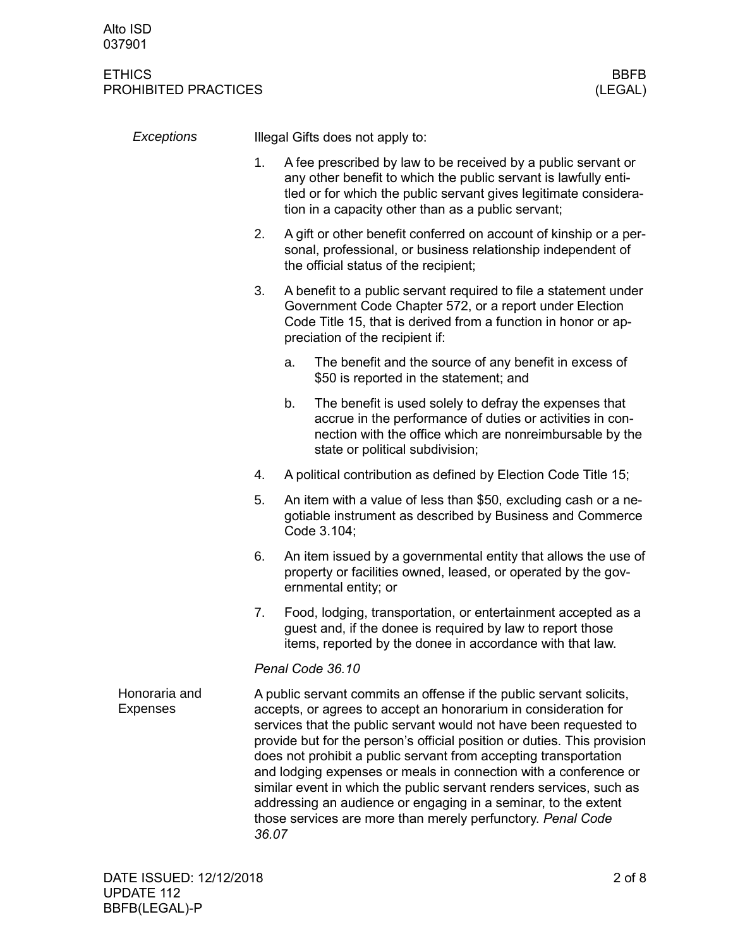| Exceptions                       | Illegal Gifts does not apply to: |                                                                                                                                                                                                                                                                                                                                                                                                                                                                                                                                                                                                                                                  |                                                                                                                                                                                                                                  |  |  |
|----------------------------------|----------------------------------|--------------------------------------------------------------------------------------------------------------------------------------------------------------------------------------------------------------------------------------------------------------------------------------------------------------------------------------------------------------------------------------------------------------------------------------------------------------------------------------------------------------------------------------------------------------------------------------------------------------------------------------------------|----------------------------------------------------------------------------------------------------------------------------------------------------------------------------------------------------------------------------------|--|--|
|                                  | 1.                               | A fee prescribed by law to be received by a public servant or<br>any other benefit to which the public servant is lawfully enti-<br>tled or for which the public servant gives legitimate considera-<br>tion in a capacity other than as a public servant;                                                                                                                                                                                                                                                                                                                                                                                       |                                                                                                                                                                                                                                  |  |  |
|                                  | 2.                               |                                                                                                                                                                                                                                                                                                                                                                                                                                                                                                                                                                                                                                                  | A gift or other benefit conferred on account of kinship or a per-<br>sonal, professional, or business relationship independent of<br>the official status of the recipient;                                                       |  |  |
|                                  | 3.                               |                                                                                                                                                                                                                                                                                                                                                                                                                                                                                                                                                                                                                                                  | A benefit to a public servant required to file a statement under<br>Government Code Chapter 572, or a report under Election<br>Code Title 15, that is derived from a function in honor or ap-<br>preciation of the recipient if: |  |  |
|                                  |                                  | a.                                                                                                                                                                                                                                                                                                                                                                                                                                                                                                                                                                                                                                               | The benefit and the source of any benefit in excess of<br>\$50 is reported in the statement; and                                                                                                                                 |  |  |
|                                  |                                  | b.                                                                                                                                                                                                                                                                                                                                                                                                                                                                                                                                                                                                                                               | The benefit is used solely to defray the expenses that<br>accrue in the performance of duties or activities in con-<br>nection with the office which are nonreimbursable by the<br>state or political subdivision;               |  |  |
|                                  | 4.                               |                                                                                                                                                                                                                                                                                                                                                                                                                                                                                                                                                                                                                                                  | A political contribution as defined by Election Code Title 15;                                                                                                                                                                   |  |  |
|                                  | 5.<br>6.                         |                                                                                                                                                                                                                                                                                                                                                                                                                                                                                                                                                                                                                                                  | An item with a value of less than \$50, excluding cash or a ne-<br>gotiable instrument as described by Business and Commerce<br>Code 3.104;                                                                                      |  |  |
|                                  |                                  |                                                                                                                                                                                                                                                                                                                                                                                                                                                                                                                                                                                                                                                  | An item issued by a governmental entity that allows the use of<br>property or facilities owned, leased, or operated by the gov-<br>ernmental entity; or                                                                          |  |  |
|                                  | 7.                               |                                                                                                                                                                                                                                                                                                                                                                                                                                                                                                                                                                                                                                                  | Food, lodging, transportation, or entertainment accepted as a<br>guest and, if the donee is required by law to report those<br>items, reported by the donee in accordance with that law.                                         |  |  |
|                                  |                                  | Penal Code 36.10                                                                                                                                                                                                                                                                                                                                                                                                                                                                                                                                                                                                                                 |                                                                                                                                                                                                                                  |  |  |
| Honoraria and<br><b>Expenses</b> |                                  | A public servant commits an offense if the public servant solicits,<br>accepts, or agrees to accept an honorarium in consideration for<br>services that the public servant would not have been requested to<br>provide but for the person's official position or duties. This provision<br>does not prohibit a public servant from accepting transportation<br>and lodging expenses or meals in connection with a conference or<br>similar event in which the public servant renders services, such as<br>addressing an audience or engaging in a seminar, to the extent<br>those services are more than merely perfunctory. Penal Code<br>36.07 |                                                                                                                                                                                                                                  |  |  |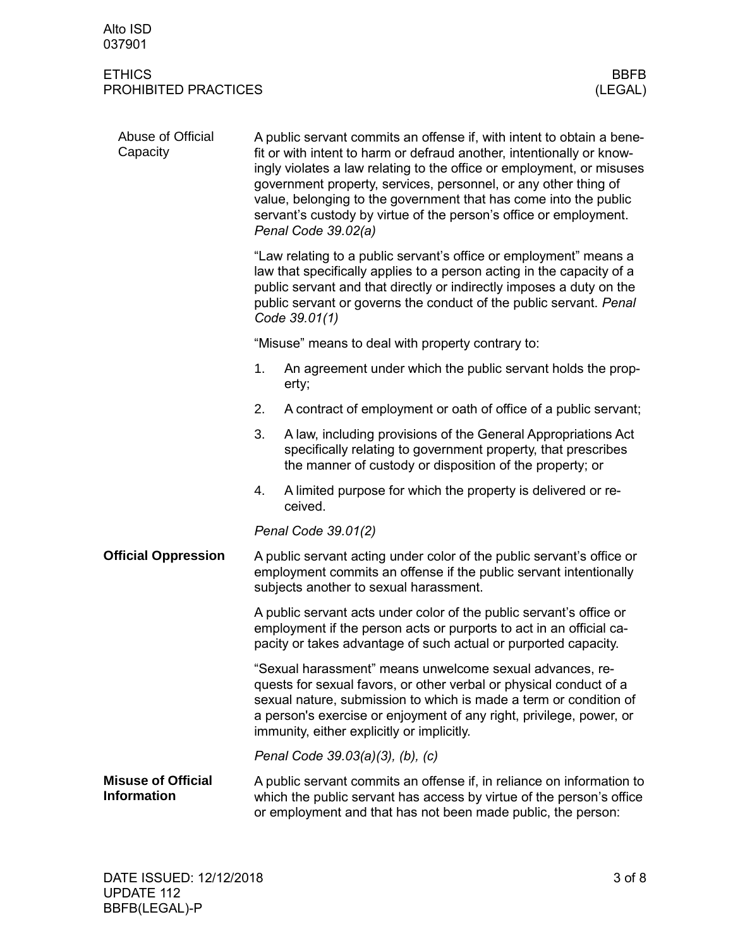### ETHICS BBFB PROHIBITED PRACTICES (LEGAL)

| Abuse of Official<br>Capacity                   | A public servant commits an offense if, with intent to obtain a bene-<br>fit or with intent to harm or defraud another, intentionally or know-<br>ingly violates a law relating to the office or employment, or misuses<br>government property, services, personnel, or any other thing of<br>value, belonging to the government that has come into the public<br>servant's custody by virtue of the person's office or employment.<br>Penal Code 39.02(a) |                                                                                                                                                                                                                                                                                                                          |  |  |
|-------------------------------------------------|------------------------------------------------------------------------------------------------------------------------------------------------------------------------------------------------------------------------------------------------------------------------------------------------------------------------------------------------------------------------------------------------------------------------------------------------------------|--------------------------------------------------------------------------------------------------------------------------------------------------------------------------------------------------------------------------------------------------------------------------------------------------------------------------|--|--|
|                                                 |                                                                                                                                                                                                                                                                                                                                                                                                                                                            | "Law relating to a public servant's office or employment" means a<br>law that specifically applies to a person acting in the capacity of a<br>public servant and that directly or indirectly imposes a duty on the<br>public servant or governs the conduct of the public servant. Penal<br>Code 39.01(1)                |  |  |
|                                                 |                                                                                                                                                                                                                                                                                                                                                                                                                                                            | "Misuse" means to deal with property contrary to:                                                                                                                                                                                                                                                                        |  |  |
|                                                 | 1.                                                                                                                                                                                                                                                                                                                                                                                                                                                         | An agreement under which the public servant holds the prop-<br>erty;                                                                                                                                                                                                                                                     |  |  |
|                                                 | 2.                                                                                                                                                                                                                                                                                                                                                                                                                                                         | A contract of employment or oath of office of a public servant;                                                                                                                                                                                                                                                          |  |  |
|                                                 | 3.                                                                                                                                                                                                                                                                                                                                                                                                                                                         | A law, including provisions of the General Appropriations Act<br>specifically relating to government property, that prescribes<br>the manner of custody or disposition of the property; or                                                                                                                               |  |  |
|                                                 | 4.                                                                                                                                                                                                                                                                                                                                                                                                                                                         | A limited purpose for which the property is delivered or re-<br>ceived.                                                                                                                                                                                                                                                  |  |  |
|                                                 |                                                                                                                                                                                                                                                                                                                                                                                                                                                            | Penal Code 39.01(2)                                                                                                                                                                                                                                                                                                      |  |  |
| <b>Official Oppression</b>                      | A public servant acting under color of the public servant's office or<br>employment commits an offense if the public servant intentionally<br>subjects another to sexual harassment.                                                                                                                                                                                                                                                                       |                                                                                                                                                                                                                                                                                                                          |  |  |
|                                                 | A public servant acts under color of the public servant's office or<br>employment if the person acts or purports to act in an official ca-<br>pacity or takes advantage of such actual or purported capacity.                                                                                                                                                                                                                                              |                                                                                                                                                                                                                                                                                                                          |  |  |
|                                                 |                                                                                                                                                                                                                                                                                                                                                                                                                                                            | "Sexual harassment" means unwelcome sexual advances, re-<br>quests for sexual favors, or other verbal or physical conduct of a<br>sexual nature, submission to which is made a term or condition of<br>a person's exercise or enjoyment of any right, privilege, power, or<br>immunity, either explicitly or implicitly. |  |  |
|                                                 |                                                                                                                                                                                                                                                                                                                                                                                                                                                            | Penal Code 39.03(a)(3), (b), (c)                                                                                                                                                                                                                                                                                         |  |  |
| <b>Misuse of Official</b><br><b>Information</b> |                                                                                                                                                                                                                                                                                                                                                                                                                                                            | A public servant commits an offense if, in reliance on information to<br>which the public servant has access by virtue of the person's office<br>or employment and that has not been made public, the person:                                                                                                            |  |  |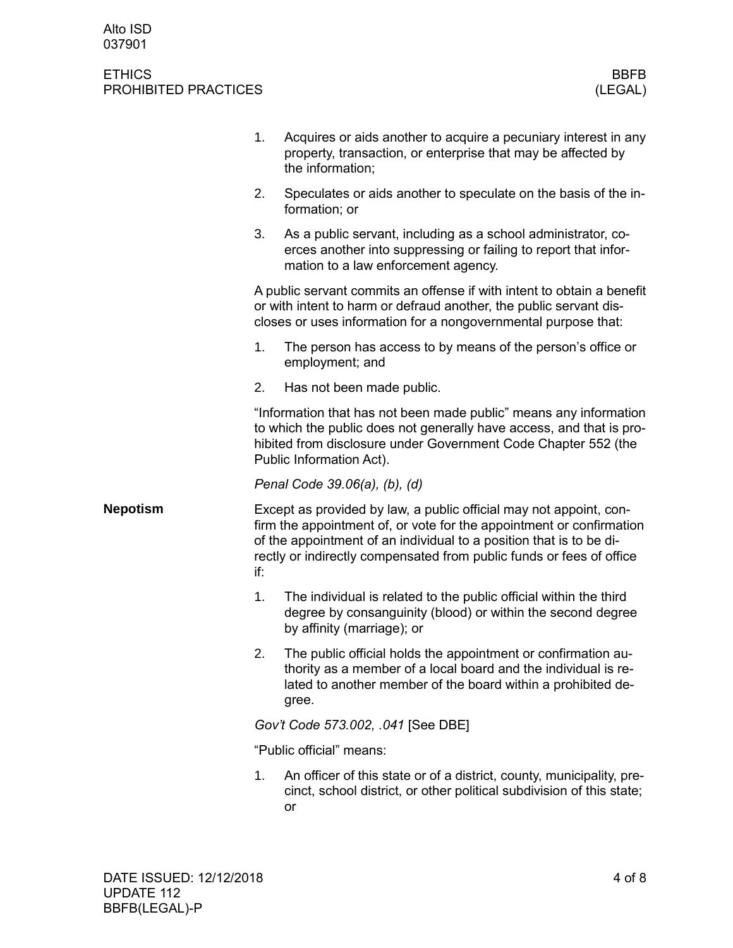|                 | 1.                       | Acquires or aids another to acquire a pecuniary interest in any<br>property, transaction, or enterprise that may be affected by<br>the information;                                                                                                                                       |
|-----------------|--------------------------|-------------------------------------------------------------------------------------------------------------------------------------------------------------------------------------------------------------------------------------------------------------------------------------------|
|                 | 2.                       | Speculates or aids another to speculate on the basis of the in-<br>formation; or                                                                                                                                                                                                          |
|                 | 3.                       | As a public servant, including as a school administrator, co-<br>erces another into suppressing or failing to report that infor-<br>mation to a law enforcement agency.                                                                                                                   |
|                 |                          | A public servant commits an offense if with intent to obtain a benefit<br>or with intent to harm or defraud another, the public servant dis-<br>closes or uses information for a nongovernmental purpose that:                                                                            |
|                 | 1.                       | The person has access to by means of the person's office or<br>employment; and                                                                                                                                                                                                            |
|                 | 2.                       | Has not been made public.                                                                                                                                                                                                                                                                 |
|                 |                          | "Information that has not been made public" means any information<br>to which the public does not generally have access, and that is pro-<br>hibited from disclosure under Government Code Chapter 552 (the<br>Public Information Act).                                                   |
|                 |                          | Penal Code 39.06(a), (b), (d)                                                                                                                                                                                                                                                             |
| <b>Nepotism</b> | if:                      | Except as provided by law, a public official may not appoint, con-<br>firm the appointment of, or vote for the appointment or confirmation<br>of the appointment of an individual to a position that is to be di-<br>rectly or indirectly compensated from public funds or fees of office |
|                 | 1.                       | The individual is related to the public official within the third<br>degree by consanguinity (blood) or within the second degree<br>by affinity (marriage); or                                                                                                                            |
|                 | 2.                       | The public official holds the appointment or confirmation au-<br>thority as a member of a local board and the individual is re-<br>lated to another member of the board within a prohibited de-<br>gree.                                                                                  |
|                 |                          | Gov't Code 573.002, .041 [See DBE]                                                                                                                                                                                                                                                        |
|                 | "Public official" means: |                                                                                                                                                                                                                                                                                           |
|                 | 1.                       | An officer of this state or of a district, county, municipality, pre-<br>cinct, school district, or other political subdivision of this state;<br><b>or</b>                                                                                                                               |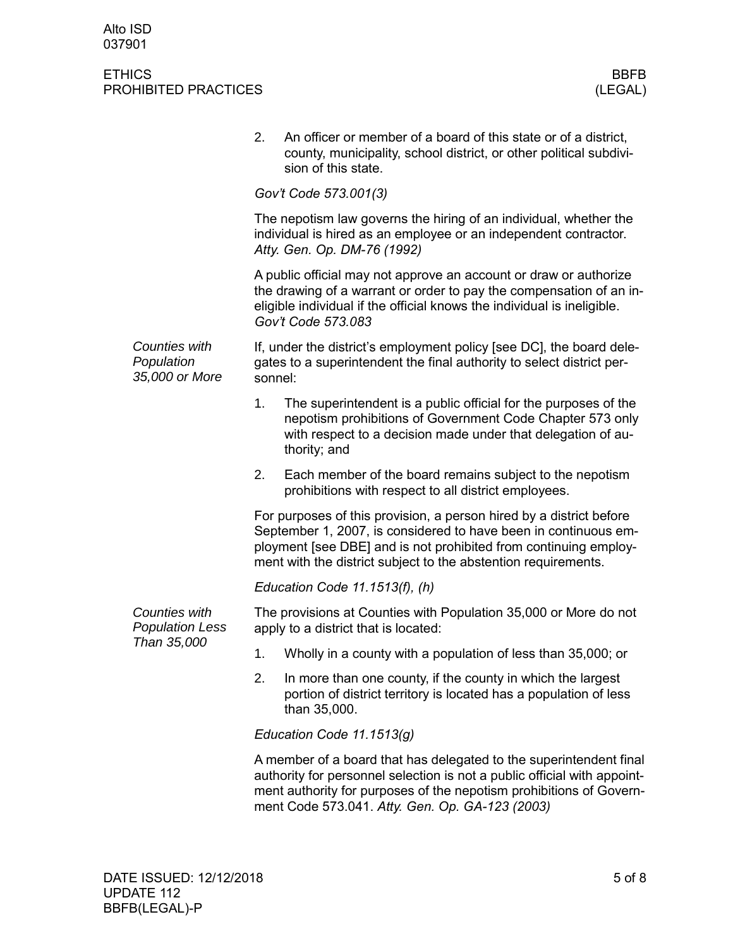|  |                                               | 2.                                                                                                                                                                                                                                                                           | An officer or member of a board of this state or of a district,<br>county, municipality, school district, or other political subdivi-<br>sion of this state.                                                                                                             |  |  |  |
|--|-----------------------------------------------|------------------------------------------------------------------------------------------------------------------------------------------------------------------------------------------------------------------------------------------------------------------------------|--------------------------------------------------------------------------------------------------------------------------------------------------------------------------------------------------------------------------------------------------------------------------|--|--|--|
|  |                                               | Gov't Code 573.001(3)                                                                                                                                                                                                                                                        |                                                                                                                                                                                                                                                                          |  |  |  |
|  |                                               | The nepotism law governs the hiring of an individual, whether the<br>individual is hired as an employee or an independent contractor.<br>Atty. Gen. Op. DM-76 (1992)                                                                                                         |                                                                                                                                                                                                                                                                          |  |  |  |
|  |                                               | A public official may not approve an account or draw or authorize<br>the drawing of a warrant or order to pay the compensation of an in-<br>eligible individual if the official knows the individual is ineligible.<br>Gov't Code 573.083                                    |                                                                                                                                                                                                                                                                          |  |  |  |
|  | Counties with<br>Population<br>35,000 or More | If, under the district's employment policy [see DC], the board dele-<br>gates to a superintendent the final authority to select district per-<br>sonnel:                                                                                                                     |                                                                                                                                                                                                                                                                          |  |  |  |
|  |                                               | 1.                                                                                                                                                                                                                                                                           | The superintendent is a public official for the purposes of the<br>nepotism prohibitions of Government Code Chapter 573 only<br>with respect to a decision made under that delegation of au-<br>thority; and                                                             |  |  |  |
|  |                                               | 2.                                                                                                                                                                                                                                                                           | Each member of the board remains subject to the nepotism<br>prohibitions with respect to all district employees.                                                                                                                                                         |  |  |  |
|  |                                               | For purposes of this provision, a person hired by a district before<br>September 1, 2007, is considered to have been in continuous em-<br>ployment [see DBE] and is not prohibited from continuing employ-<br>ment with the district subject to the abstention requirements. |                                                                                                                                                                                                                                                                          |  |  |  |
|  |                                               | Education Code 11.1513(f), (h)                                                                                                                                                                                                                                               |                                                                                                                                                                                                                                                                          |  |  |  |
|  | Counties with<br><b>Population Less</b>       | The provisions at Counties with Population 35,000 or More do not<br>apply to a district that is located:                                                                                                                                                                     |                                                                                                                                                                                                                                                                          |  |  |  |
|  | Than 35,000                                   | 1.                                                                                                                                                                                                                                                                           | Wholly in a county with a population of less than 35,000; or                                                                                                                                                                                                             |  |  |  |
|  |                                               | 2.                                                                                                                                                                                                                                                                           | In more than one county, if the county in which the largest<br>portion of district territory is located has a population of less<br>than 35,000.                                                                                                                         |  |  |  |
|  |                                               | Education Code 11.1513(g)                                                                                                                                                                                                                                                    |                                                                                                                                                                                                                                                                          |  |  |  |
|  |                                               |                                                                                                                                                                                                                                                                              | A member of a board that has delegated to the superintendent final<br>authority for personnel selection is not a public official with appoint-<br>ment authority for purposes of the nepotism prohibitions of Govern-<br>ment Code 573.041. Atty. Gen. Op. GA-123 (2003) |  |  |  |
|  |                                               |                                                                                                                                                                                                                                                                              |                                                                                                                                                                                                                                                                          |  |  |  |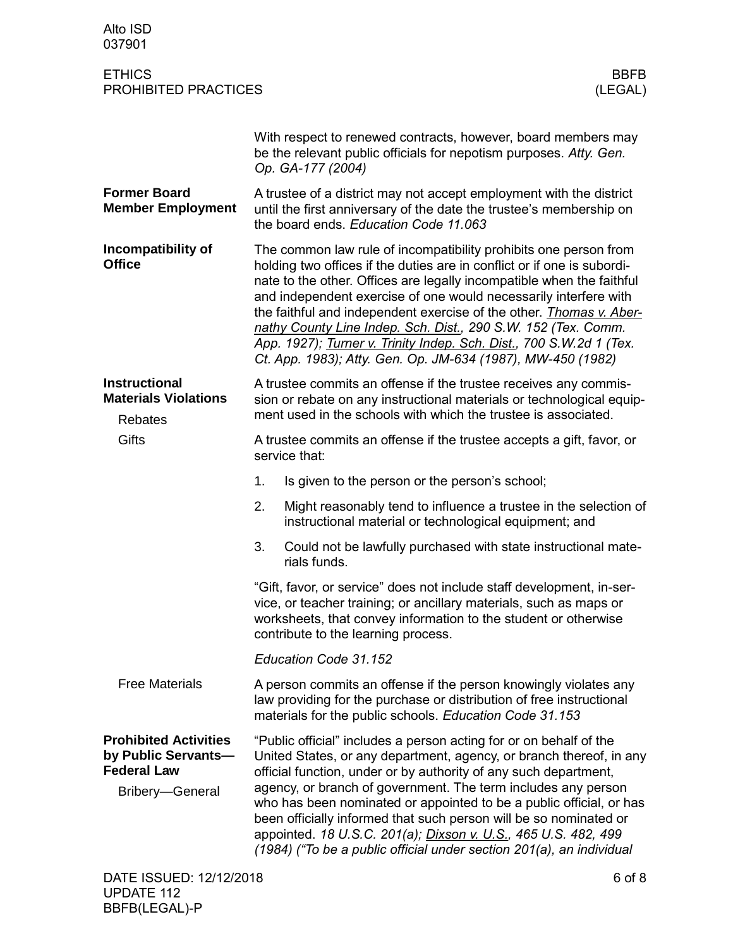| Alto ISD<br>037901                                                        |                                                                                                                                                                                                                                                                                                                                                                                                                                                                                                                                                                        |  |  |  |
|---------------------------------------------------------------------------|------------------------------------------------------------------------------------------------------------------------------------------------------------------------------------------------------------------------------------------------------------------------------------------------------------------------------------------------------------------------------------------------------------------------------------------------------------------------------------------------------------------------------------------------------------------------|--|--|--|
| <b>ETHICS</b><br>PROHIBITED PRACTICES                                     | <b>BBFB</b><br>(LEGAL)                                                                                                                                                                                                                                                                                                                                                                                                                                                                                                                                                 |  |  |  |
|                                                                           | With respect to renewed contracts, however, board members may<br>be the relevant public officials for nepotism purposes. Atty. Gen.<br>Op. GA-177 (2004)                                                                                                                                                                                                                                                                                                                                                                                                               |  |  |  |
| <b>Former Board</b><br><b>Member Employment</b>                           | A trustee of a district may not accept employment with the district<br>until the first anniversary of the date the trustee's membership on<br>the board ends. Education Code 11.063                                                                                                                                                                                                                                                                                                                                                                                    |  |  |  |
| Incompatibility of<br><b>Office</b>                                       | The common law rule of incompatibility prohibits one person from<br>holding two offices if the duties are in conflict or if one is subordi-<br>nate to the other. Offices are legally incompatible when the faithful<br>and independent exercise of one would necessarily interfere with<br>the faithful and independent exercise of the other. Thomas v. Aber-<br>nathy County Line Indep. Sch. Dist., 290 S.W. 152 (Tex. Comm.<br>App. 1927); Turner v. Trinity Indep. Sch. Dist., 700 S.W.2d 1 (Tex.<br>Ct. App. 1983); Atty. Gen. Op. JM-634 (1987), MW-450 (1982) |  |  |  |
| <b>Instructional</b><br><b>Materials Violations</b><br><b>Rebates</b>     | A trustee commits an offense if the trustee receives any commis-<br>sion or rebate on any instructional materials or technological equip-<br>ment used in the schools with which the trustee is associated.                                                                                                                                                                                                                                                                                                                                                            |  |  |  |
| <b>Gifts</b>                                                              | A trustee commits an offense if the trustee accepts a gift, favor, or<br>service that:                                                                                                                                                                                                                                                                                                                                                                                                                                                                                 |  |  |  |
|                                                                           | 1.<br>Is given to the person or the person's school;                                                                                                                                                                                                                                                                                                                                                                                                                                                                                                                   |  |  |  |
|                                                                           | 2.<br>Might reasonably tend to influence a trustee in the selection of<br>instructional material or technological equipment; and                                                                                                                                                                                                                                                                                                                                                                                                                                       |  |  |  |
|                                                                           | 3.<br>Could not be lawfully purchased with state instructional mate-<br>rials funds.                                                                                                                                                                                                                                                                                                                                                                                                                                                                                   |  |  |  |
|                                                                           | "Gift, favor, or service" does not include staff development, in-ser-<br>vice, or teacher training; or ancillary materials, such as maps or<br>worksheets, that convey information to the student or otherwise<br>contribute to the learning process.                                                                                                                                                                                                                                                                                                                  |  |  |  |
|                                                                           | Education Code 31.152                                                                                                                                                                                                                                                                                                                                                                                                                                                                                                                                                  |  |  |  |
| <b>Free Materials</b>                                                     | A person commits an offense if the person knowingly violates any<br>law providing for the purchase or distribution of free instructional<br>materials for the public schools. Education Code 31.153                                                                                                                                                                                                                                                                                                                                                                    |  |  |  |
| <b>Prohibited Activities</b><br>by Public Servants-<br><b>Federal Law</b> | "Public official" includes a person acting for or on behalf of the<br>United States, or any department, agency, or branch thereof, in any<br>official function, under or by authority of any such department,                                                                                                                                                                                                                                                                                                                                                          |  |  |  |
| Bribery-General                                                           | agency, or branch of government. The term includes any person<br>who has been nominated or appointed to be a public official, or has<br>been officially informed that such person will be so nominated or<br>appointed. 18 U.S.C. 201(a); Dixson v. U.S., 465 U.S. 482, 499<br>(1984) ("To be a public official under section 201(a), an individual                                                                                                                                                                                                                    |  |  |  |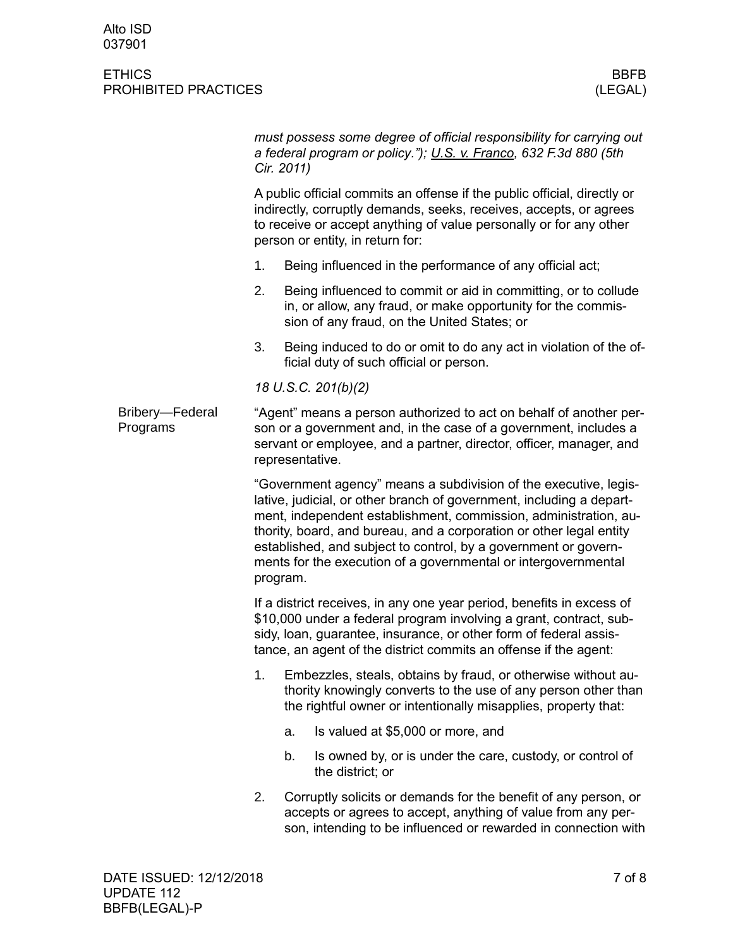|                                                                                                                                                                                                                                                                                                                                                                                                                                      |    | must possess some degree of official responsibility for carrying out<br>a federal program or policy."); U.S. v. Franco, 632 F.3d 880 (5th                                                         |  |  |
|--------------------------------------------------------------------------------------------------------------------------------------------------------------------------------------------------------------------------------------------------------------------------------------------------------------------------------------------------------------------------------------------------------------------------------------|----|---------------------------------------------------------------------------------------------------------------------------------------------------------------------------------------------------|--|--|
| A public official commits an offense if the public official, directly or<br>indirectly, corruptly demands, seeks, receives, accepts, or agrees<br>to receive or accept anything of value personally or for any other<br>person or entity, in return for:                                                                                                                                                                             |    |                                                                                                                                                                                                   |  |  |
| 1.                                                                                                                                                                                                                                                                                                                                                                                                                                   |    | Being influenced in the performance of any official act;                                                                                                                                          |  |  |
| 2.                                                                                                                                                                                                                                                                                                                                                                                                                                   |    | Being influenced to commit or aid in committing, or to collude<br>in, or allow, any fraud, or make opportunity for the commis-<br>sion of any fraud, on the United States; or                     |  |  |
| 3.                                                                                                                                                                                                                                                                                                                                                                                                                                   |    | Being induced to do or omit to do any act in violation of the of-<br>ficial duty of such official or person.                                                                                      |  |  |
| 18 U.S.C. 201(b)(2)                                                                                                                                                                                                                                                                                                                                                                                                                  |    |                                                                                                                                                                                                   |  |  |
| "Agent" means a person authorized to act on behalf of another per-<br>son or a government and, in the case of a government, includes a<br>servant or employee, and a partner, director, officer, manager, and<br>representative.                                                                                                                                                                                                     |    |                                                                                                                                                                                                   |  |  |
| "Government agency" means a subdivision of the executive, legis-<br>lative, judicial, or other branch of government, including a depart-<br>ment, independent establishment, commission, administration, au-<br>thority, board, and bureau, and a corporation or other legal entity<br>established, and subject to control, by a government or govern-<br>ments for the execution of a governmental or intergovernmental<br>program. |    |                                                                                                                                                                                                   |  |  |
| If a district receives, in any one year period, benefits in excess of<br>\$10,000 under a federal program involving a grant, contract, sub-<br>sidy, loan, guarantee, insurance, or other form of federal assis-<br>tance, an agent of the district commits an offense if the agent:                                                                                                                                                 |    |                                                                                                                                                                                                   |  |  |
| 1.                                                                                                                                                                                                                                                                                                                                                                                                                                   |    | Embezzles, steals, obtains by fraud, or otherwise without au-<br>thority knowingly converts to the use of any person other than<br>the rightful owner or intentionally misapplies, property that: |  |  |
|                                                                                                                                                                                                                                                                                                                                                                                                                                      | a. | Is valued at \$5,000 or more, and                                                                                                                                                                 |  |  |
|                                                                                                                                                                                                                                                                                                                                                                                                                                      | b. | Is owned by, or is under the care, custody, or control of<br>the district; or                                                                                                                     |  |  |
| 2.                                                                                                                                                                                                                                                                                                                                                                                                                                   |    | Corruptly solicits or demands for the benefit of any person, or<br>accepts or agrees to accept, anything of value from any per-<br>son, intending to be influenced or rewarded in connection with |  |  |
|                                                                                                                                                                                                                                                                                                                                                                                                                                      |    | Cir. 2011)                                                                                                                                                                                        |  |  |